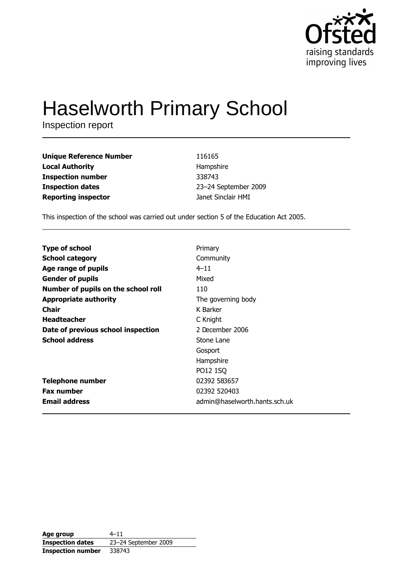

# **Haselworth Primary School**

Inspection report

| <b>Unique Reference Number</b> | 116165               |
|--------------------------------|----------------------|
| <b>Local Authority</b>         | Hampshire            |
| <b>Inspection number</b>       | 338743               |
| <b>Inspection dates</b>        | 23-24 September 2009 |
| <b>Reporting inspector</b>     | Janet Sinclair HMI   |

This inspection of the school was carried out under section 5 of the Education Act 2005.

| <b>Type of school</b>               | Primary                       |
|-------------------------------------|-------------------------------|
| <b>School category</b>              | Community                     |
| Age range of pupils                 | $4 - 11$                      |
| <b>Gender of pupils</b>             | Mixed                         |
| Number of pupils on the school roll | 110                           |
| <b>Appropriate authority</b>        | The governing body            |
| <b>Chair</b>                        | K Barker                      |
| <b>Headteacher</b>                  | C Knight                      |
| Date of previous school inspection  | 2 December 2006               |
| <b>School address</b>               | Stone Lane                    |
|                                     | Gosport                       |
|                                     | Hampshire                     |
|                                     | PO12 1SQ                      |
| <b>Telephone number</b>             | 02392 583657                  |
| <b>Fax number</b>                   | 02392 520403                  |
| <b>Email address</b>                | admin@haselworth.hants.sch.uk |

| Age group                | $4 - 11$             |
|--------------------------|----------------------|
| <b>Inspection dates</b>  | 23-24 September 2009 |
| <b>Inspection number</b> | 338743               |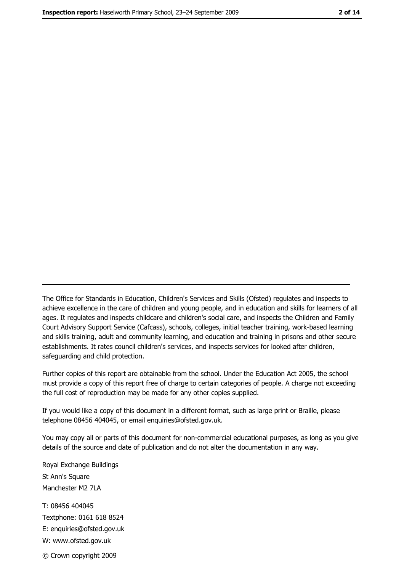The Office for Standards in Education, Children's Services and Skills (Ofsted) regulates and inspects to achieve excellence in the care of children and young people, and in education and skills for learners of all ages. It regulates and inspects childcare and children's social care, and inspects the Children and Family Court Advisory Support Service (Cafcass), schools, colleges, initial teacher training, work-based learning and skills training, adult and community learning, and education and training in prisons and other secure establishments. It rates council children's services, and inspects services for looked after children, safequarding and child protection.

Further copies of this report are obtainable from the school. Under the Education Act 2005, the school must provide a copy of this report free of charge to certain categories of people. A charge not exceeding the full cost of reproduction may be made for any other copies supplied.

If you would like a copy of this document in a different format, such as large print or Braille, please telephone 08456 404045, or email enquiries@ofsted.gov.uk.

You may copy all or parts of this document for non-commercial educational purposes, as long as you give details of the source and date of publication and do not alter the documentation in any way.

Royal Exchange Buildings St Ann's Square Manchester M2 7LA T: 08456 404045 Textphone: 0161 618 8524 E: enquiries@ofsted.gov.uk W: www.ofsted.gov.uk © Crown copyright 2009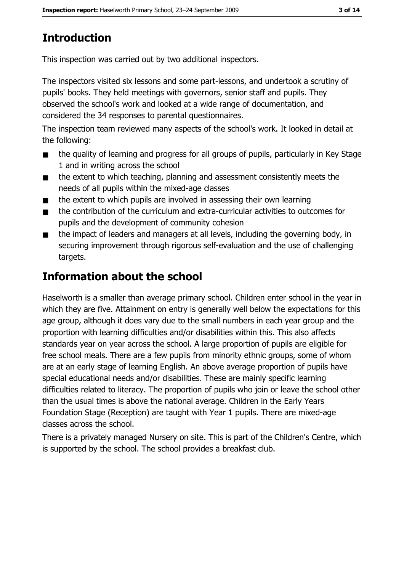# **Introduction**

This inspection was carried out by two additional inspectors.

The inspectors visited six lessons and some part-lessons, and undertook a scrutiny of pupils' books. They held meetings with governors, senior staff and pupils. They observed the school's work and looked at a wide range of documentation, and considered the 34 responses to parental questionnaires.

The inspection team reviewed many aspects of the school's work. It looked in detail at the following:

- the quality of learning and progress for all groups of pupils, particularly in Key Stage  $\blacksquare$ 1 and in writing across the school
- the extent to which teaching, planning and assessment consistently meets the  $\blacksquare$ needs of all pupils within the mixed-age classes
- the extent to which pupils are involved in assessing their own learning  $\blacksquare$
- the contribution of the curriculum and extra-curricular activities to outcomes for  $\blacksquare$ pupils and the development of community cohesion
- the impact of leaders and managers at all levels, including the governing body, in  $\blacksquare$ securing improvement through rigorous self-evaluation and the use of challenging targets.

## Information about the school

Haselworth is a smaller than average primary school. Children enter school in the year in which they are five. Attainment on entry is generally well below the expectations for this age group, although it does vary due to the small numbers in each year group and the proportion with learning difficulties and/or disabilities within this. This also affects standards year on year across the school. A large proportion of pupils are eligible for free school meals. There are a few pupils from minority ethnic groups, some of whom are at an early stage of learning English. An above average proportion of pupils have special educational needs and/or disabilities. These are mainly specific learning difficulties related to literacy. The proportion of pupils who join or leave the school other than the usual times is above the national average. Children in the Early Years Foundation Stage (Reception) are taught with Year 1 pupils. There are mixed-age classes across the school.

There is a privately managed Nursery on site. This is part of the Children's Centre, which is supported by the school. The school provides a breakfast club.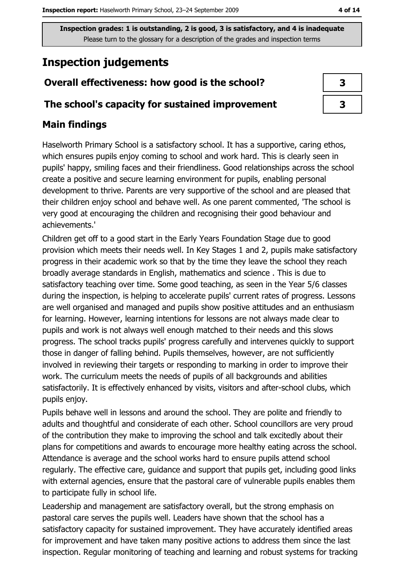## **Inspection judgements**

#### Overall effectiveness: how good is the school?

#### The school's capacity for sustained improvement

### **Main findings**

Haselworth Primary School is a satisfactory school. It has a supportive, caring ethos, which ensures pupils enjoy coming to school and work hard. This is clearly seen in pupils' happy, smiling faces and their friendliness. Good relationships across the school create a positive and secure learning environment for pupils, enabling personal development to thrive. Parents are very supportive of the school and are pleased that their children enjoy school and behave well. As one parent commented, 'The school is very good at encouraging the children and recognising their good behaviour and achievements.'

Children get off to a good start in the Early Years Foundation Stage due to good provision which meets their needs well. In Key Stages 1 and 2, pupils make satisfactory progress in their academic work so that by the time they leave the school they reach broadly average standards in English, mathematics and science. This is due to satisfactory teaching over time. Some good teaching, as seen in the Year 5/6 classes during the inspection, is helping to accelerate pupils' current rates of progress. Lessons are well organised and managed and pupils show positive attitudes and an enthusiasm for learning. However, learning intentions for lessons are not always made clear to pupils and work is not always well enough matched to their needs and this slows progress. The school tracks pupils' progress carefully and intervenes quickly to support those in danger of falling behind. Pupils themselves, however, are not sufficiently involved in reviewing their targets or responding to marking in order to improve their work. The curriculum meets the needs of pupils of all backgrounds and abilities satisfactorily. It is effectively enhanced by visits, visitors and after-school clubs, which pupils enjoy.

Pupils behave well in lessons and around the school. They are polite and friendly to adults and thoughtful and considerate of each other. School councillors are very proud of the contribution they make to improving the school and talk excitedly about their plans for competitions and awards to encourage more healthy eating across the school. Attendance is average and the school works hard to ensure pupils attend school regularly. The effective care, guidance and support that pupils get, including good links with external agencies, ensure that the pastoral care of vulnerable pupils enables them to participate fully in school life.

Leadership and management are satisfactory overall, but the strong emphasis on pastoral care serves the pupils well. Leaders have shown that the school has a satisfactory capacity for sustained improvement. They have accurately identified areas for improvement and have taken many positive actions to address them since the last inspection. Regular monitoring of teaching and learning and robust systems for tracking

| 3 |  |
|---|--|
| 7 |  |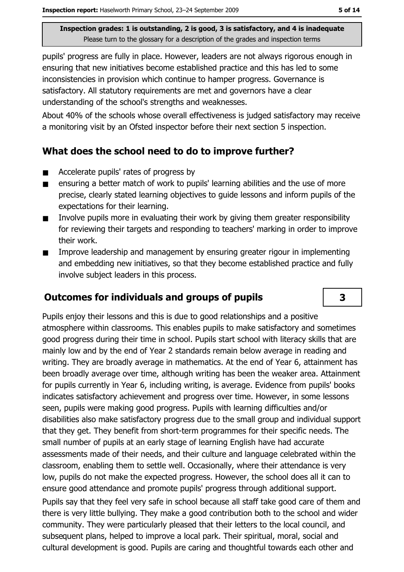pupils' progress are fully in place. However, leaders are not always rigorous enough in ensuring that new initiatives become established practice and this has led to some inconsistencies in provision which continue to hamper progress. Governance is satisfactory. All statutory requirements are met and governors have a clear understanding of the school's strengths and weaknesses.

About 40% of the schools whose overall effectiveness is judged satisfactory may receive a monitoring visit by an Ofsted inspector before their next section 5 inspection.

#### What does the school need to do to improve further?

- Accelerate pupils' rates of progress by  $\blacksquare$
- ensuring a better match of work to pupils' learning abilities and the use of more  $\blacksquare$ precise, clearly stated learning objectives to guide lessons and inform pupils of the expectations for their learning.
- Involve pupils more in evaluating their work by giving them greater responsibility  $\blacksquare$ for reviewing their targets and responding to teachers' marking in order to improve their work.
- Improve leadership and management by ensuring greater rigour in implementing  $\blacksquare$ and embedding new initiatives, so that they become established practice and fully involve subject leaders in this process.

#### **Outcomes for individuals and groups of pupils**

Pupils enjoy their lessons and this is due to good relationships and a positive atmosphere within classrooms. This enables pupils to make satisfactory and sometimes good progress during their time in school. Pupils start school with literacy skills that are mainly low and by the end of Year 2 standards remain below average in reading and writing. They are broadly average in mathematics. At the end of Year 6, attainment has been broadly average over time, although writing has been the weaker area. Attainment for pupils currently in Year 6, including writing, is average. Evidence from pupils' books indicates satisfactory achievement and progress over time. However, in some lessons seen, pupils were making good progress. Pupils with learning difficulties and/or disabilities also make satisfactory progress due to the small group and individual support that they get. They benefit from short-term programmes for their specific needs. The small number of pupils at an early stage of learning English have had accurate assessments made of their needs, and their culture and language celebrated within the classroom, enabling them to settle well. Occasionally, where their attendance is very low, pupils do not make the expected progress. However, the school does all it can to ensure good attendance and promote pupils' progress through additional support.

Pupils say that they feel very safe in school because all staff take good care of them and there is very little bullying. They make a good contribution both to the school and wider community. They were particularly pleased that their letters to the local council, and subsequent plans, helped to improve a local park. Their spiritual, moral, social and cultural development is good. Pupils are caring and thoughtful towards each other and

3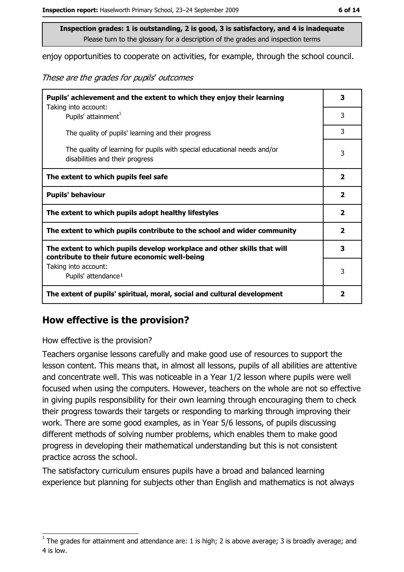enjoy opportunities to cooperate on activities, for example, through the school council.

These are the grades for pupils' outcomes

| Pupils' achievement and the extent to which they enjoy their learning                                                     |                         |
|---------------------------------------------------------------------------------------------------------------------------|-------------------------|
| Taking into account:<br>Pupils' attainment <sup>1</sup>                                                                   | 3                       |
| The quality of pupils' learning and their progress                                                                        | 3                       |
| The quality of learning for pupils with special educational needs and/or<br>disabilities and their progress               | 3                       |
| The extent to which pupils feel safe                                                                                      | $\mathbf{2}$            |
| <b>Pupils' behaviour</b>                                                                                                  |                         |
| The extent to which pupils adopt healthy lifestyles                                                                       | $\overline{\mathbf{2}}$ |
| The extent to which pupils contribute to the school and wider community                                                   |                         |
| The extent to which pupils develop workplace and other skills that will<br>contribute to their future economic well-being | 3                       |
| Taking into account:<br>Pupils' attendance <sup>1</sup>                                                                   | 3                       |
| The extent of pupils' spiritual, moral, social and cultural development                                                   | 2                       |

#### How effective is the provision?

#### How effective is the provision?

Teachers organise lessons carefully and make good use of resources to support the lesson content. This means that, in almost all lessons, pupils of all abilities are attentive and concentrate well. This was noticeable in a Year 1/2 lesson where pupils were well focused when using the computers. However, teachers on the whole are not so effective in giving pupils responsibility for their own learning through encouraging them to check their progress towards their targets or responding to marking through improving their work. There are some good examples, as in Year 5/6 lessons, of pupils discussing different methods of solving number problems, which enables them to make good progress in developing their mathematical understanding but this is not consistent practice across the school.

The satisfactory curriculum ensures pupils have a broad and balanced learning experience but planning for subjects other than English and mathematics is not always

The grades for attainment and attendance are: 1 is high; 2 is above average; 3 is broadly average; and 4 is low.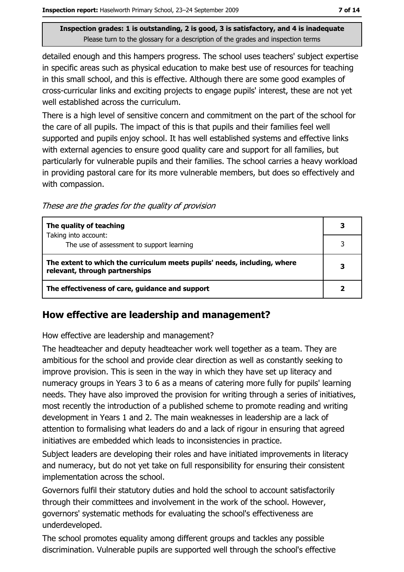detailed enough and this hampers progress. The school uses teachers' subject expertise in specific areas such as physical education to make best use of resources for teaching in this small school, and this is effective. Although there are some good examples of cross-curricular links and exciting projects to engage pupils' interest, these are not yet well established across the curriculum.

There is a high level of sensitive concern and commitment on the part of the school for the care of all pupils. The impact of this is that pupils and their families feel well supported and pupils enjoy school. It has well established systems and effective links with external agencies to ensure good quality care and support for all families, but particularly for vulnerable pupils and their families. The school carries a heavy workload in providing pastoral care for its more vulnerable members, but does so effectively and with compassion.

These are the grades for the quality of provision

| The quality of teaching                                                                                    | 3 |
|------------------------------------------------------------------------------------------------------------|---|
| Taking into account:<br>The use of assessment to support learning                                          | ٦ |
| The extent to which the curriculum meets pupils' needs, including, where<br>relevant, through partnerships |   |
| The effectiveness of care, guidance and support                                                            |   |

#### How effective are leadership and management?

How effective are leadership and management?

The headteacher and deputy headteacher work well together as a team. They are ambitious for the school and provide clear direction as well as constantly seeking to improve provision. This is seen in the way in which they have set up literacy and numeracy groups in Years 3 to 6 as a means of catering more fully for pupils' learning needs. They have also improved the provision for writing through a series of initiatives, most recently the introduction of a published scheme to promote reading and writing development in Years 1 and 2. The main weaknesses in leadership are a lack of attention to formalising what leaders do and a lack of rigour in ensuring that agreed initiatives are embedded which leads to inconsistencies in practice.

Subject leaders are developing their roles and have initiated improvements in literacy and numeracy, but do not yet take on full responsibility for ensuring their consistent implementation across the school.

Governors fulfil their statutory duties and hold the school to account satisfactorily through their committees and involvement in the work of the school. However, governors' systematic methods for evaluating the school's effectiveness are underdeveloped.

The school promotes equality among different groups and tackles any possible discrimination. Vulnerable pupils are supported well through the school's effective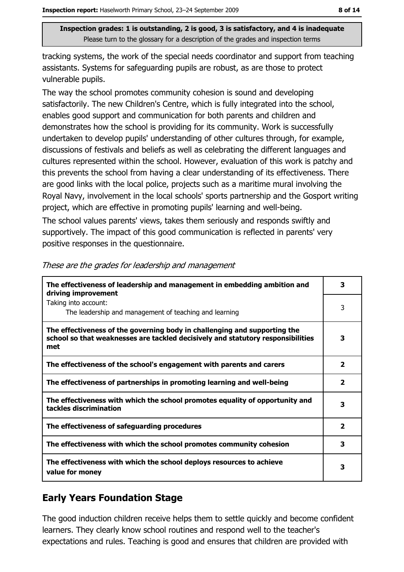tracking systems, the work of the special needs coordinator and support from teaching assistants. Systems for safeguarding pupils are robust, as are those to protect vulnerable pupils.

The way the school promotes community cohesion is sound and developing satisfactorily. The new Children's Centre, which is fully integrated into the school, enables good support and communication for both parents and children and demonstrates how the school is providing for its community. Work is successfully undertaken to develop pupils' understanding of other cultures through, for example, discussions of festivals and beliefs as well as celebrating the different languages and cultures represented within the school. However, evaluation of this work is patchy and this prevents the school from having a clear understanding of its effectiveness. There are good links with the local police, projects such as a maritime mural involving the Royal Navy, involvement in the local schools' sports partnership and the Gosport writing project, which are effective in promoting pupils' learning and well-being.

The school values parents' views, takes them seriously and responds swiftly and supportively. The impact of this good communication is reflected in parents' very positive responses in the questionnaire.

| The effectiveness of leadership and management in embedding ambition and<br>driving improvement                                                                     |                         |
|---------------------------------------------------------------------------------------------------------------------------------------------------------------------|-------------------------|
| Taking into account:<br>The leadership and management of teaching and learning                                                                                      | 3                       |
| The effectiveness of the governing body in challenging and supporting the<br>school so that weaknesses are tackled decisively and statutory responsibilities<br>met | 3                       |
| The effectiveness of the school's engagement with parents and carers                                                                                                | $\overline{\mathbf{2}}$ |
| The effectiveness of partnerships in promoting learning and well-being                                                                                              | $\overline{\mathbf{2}}$ |
| The effectiveness with which the school promotes equality of opportunity and<br>tackles discrimination                                                              | з                       |
| The effectiveness of safeguarding procedures                                                                                                                        | $\overline{\mathbf{2}}$ |
| The effectiveness with which the school promotes community cohesion                                                                                                 | 3                       |
| The effectiveness with which the school deploys resources to achieve<br>value for money                                                                             | 3                       |

These are the grades for leadership and management

### **Early Years Foundation Stage**

The good induction children receive helps them to settle guickly and become confident learners. They clearly know school routines and respond well to the teacher's expectations and rules. Teaching is good and ensures that children are provided with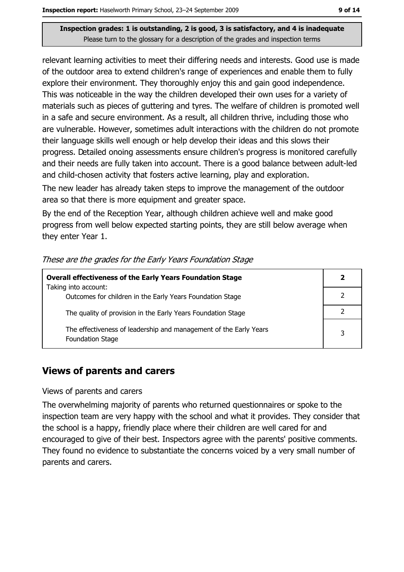relevant learning activities to meet their differing needs and interests. Good use is made of the outdoor area to extend children's range of experiences and enable them to fully explore their environment. They thoroughly enjoy this and gain good independence. This was noticeable in the way the children developed their own uses for a variety of materials such as pieces of guttering and tyres. The welfare of children is promoted well in a safe and secure environment. As a result, all children thrive, including those who are vulnerable. However, sometimes adult interactions with the children do not promote their language skills well enough or help develop their ideas and this slows their progress. Detailed onoing assessments ensure children's progress is monitored carefully and their needs are fully taken into account. There is a good balance between adult-led and child-chosen activity that fosters active learning, play and exploration.

The new leader has already taken steps to improve the management of the outdoor area so that there is more equipment and greater space.

By the end of the Reception Year, although children achieve well and make good progress from well below expected starting points, they are still below average when they enter Year 1.

| <b>Overall effectiveness of the Early Years Foundation Stage</b>                             |   |
|----------------------------------------------------------------------------------------------|---|
| Taking into account:<br>Outcomes for children in the Early Years Foundation Stage            |   |
| The quality of provision in the Early Years Foundation Stage                                 |   |
| The effectiveness of leadership and management of the Early Years<br><b>Foundation Stage</b> | 3 |

#### These are the grades for the Early Years Foundation Stage

#### **Views of parents and carers**

Views of parents and carers

The overwhelming majority of parents who returned questionnaires or spoke to the inspection team are very happy with the school and what it provides. They consider that the school is a happy, friendly place where their children are well cared for and encouraged to give of their best. Inspectors agree with the parents' positive comments. They found no evidence to substantiate the concerns voiced by a very small number of parents and carers.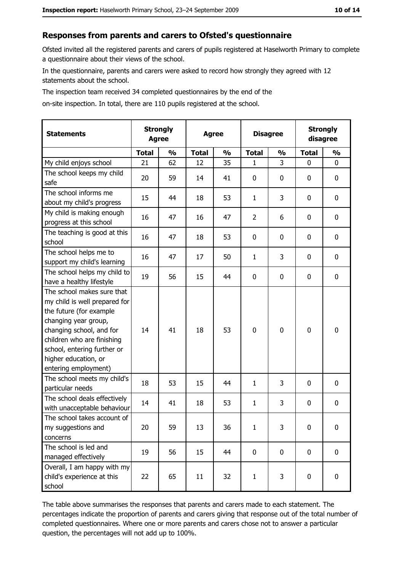#### Responses from parents and carers to Ofsted's questionnaire

Ofsted invited all the registered parents and carers of pupils registered at Haselworth Primary to complete a questionnaire about their views of the school.

In the questionnaire, parents and carers were asked to record how strongly they agreed with 12 statements about the school.

The inspection team received 34 completed questionnaires by the end of the

on-site inspection. In total, there are 110 pupils registered at the school.

| <b>Statements</b>                                                                                                                                                                                                                                       | <b>Strongly</b><br><b>Agree</b> |               | <b>Agree</b> |               | <b>Disagree</b> |               | <b>Strongly</b><br>disagree |               |
|---------------------------------------------------------------------------------------------------------------------------------------------------------------------------------------------------------------------------------------------------------|---------------------------------|---------------|--------------|---------------|-----------------|---------------|-----------------------------|---------------|
|                                                                                                                                                                                                                                                         | <b>Total</b>                    | $\frac{0}{0}$ | <b>Total</b> | $\frac{0}{0}$ | <b>Total</b>    | $\frac{0}{0}$ | <b>Total</b>                | $\frac{1}{2}$ |
| My child enjoys school                                                                                                                                                                                                                                  | 21                              | 62            | 12           | 35            | 1               | 3             | 0                           | $\mathbf 0$   |
| The school keeps my child<br>safe                                                                                                                                                                                                                       | 20                              | 59            | 14           | 41            | 0               | 0             | 0                           | 0             |
| The school informs me<br>about my child's progress                                                                                                                                                                                                      | 15                              | 44            | 18           | 53            | $\mathbf{1}$    | 3             | 0                           | $\mathbf 0$   |
| My child is making enough<br>progress at this school                                                                                                                                                                                                    | 16                              | 47            | 16           | 47            | $\overline{2}$  | 6             | 0                           | 0             |
| The teaching is good at this<br>school                                                                                                                                                                                                                  | 16                              | 47            | 18           | 53            | 0               | 0             | 0                           | $\mathbf 0$   |
| The school helps me to<br>support my child's learning                                                                                                                                                                                                   | 16                              | 47            | 17           | 50            | $\mathbf{1}$    | 3             | 0                           | $\mathbf 0$   |
| The school helps my child to<br>have a healthy lifestyle                                                                                                                                                                                                | 19                              | 56            | 15           | 44            | 0               | 0             | 0                           | $\mathbf 0$   |
| The school makes sure that<br>my child is well prepared for<br>the future (for example<br>changing year group,<br>changing school, and for<br>children who are finishing<br>school, entering further or<br>higher education, or<br>entering employment) | 14                              | 41            | 18           | 53            | $\mathbf 0$     | 0             | 0                           | $\mathbf 0$   |
| The school meets my child's<br>particular needs                                                                                                                                                                                                         | 18                              | 53            | 15           | 44            | $\mathbf{1}$    | 3             | 0                           | $\mathbf 0$   |
| The school deals effectively<br>with unacceptable behaviour                                                                                                                                                                                             | 14                              | 41            | 18           | 53            | $\mathbf{1}$    | 3             | 0                           | 0             |
| The school takes account of<br>my suggestions and<br>concerns                                                                                                                                                                                           | 20                              | 59            | 13           | 36            | 1               | 3             | 0                           | 0             |
| The school is led and<br>managed effectively                                                                                                                                                                                                            | 19                              | 56            | 15           | 44            | 0               | 0             | $\mathbf 0$                 | $\mathbf 0$   |
| Overall, I am happy with my<br>child's experience at this<br>school                                                                                                                                                                                     | 22                              | 65            | 11           | 32            | $\mathbf{1}$    | 3             | 0                           | $\mathbf 0$   |

The table above summarises the responses that parents and carers made to each statement. The percentages indicate the proportion of parents and carers giving that response out of the total number of completed questionnaires. Where one or more parents and carers chose not to answer a particular question, the percentages will not add up to 100%.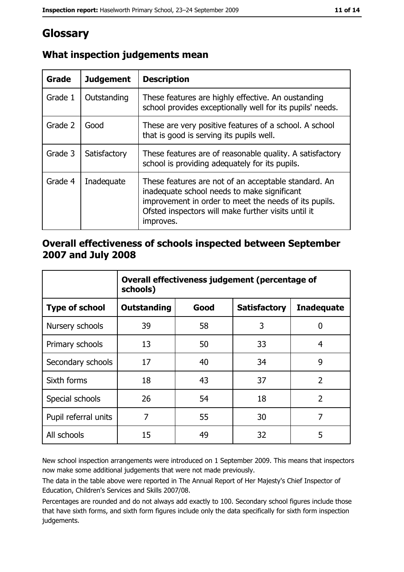## Glossary

| Grade   | <b>Judgement</b> | <b>Description</b>                                                                                                                                                                                                               |  |
|---------|------------------|----------------------------------------------------------------------------------------------------------------------------------------------------------------------------------------------------------------------------------|--|
| Grade 1 | Outstanding      | These features are highly effective. An oustanding<br>school provides exceptionally well for its pupils' needs.                                                                                                                  |  |
| Grade 2 | Good             | These are very positive features of a school. A school<br>that is good is serving its pupils well.                                                                                                                               |  |
| Grade 3 | Satisfactory     | These features are of reasonable quality. A satisfactory<br>school is providing adequately for its pupils.                                                                                                                       |  |
| Grade 4 | Inadequate       | These features are not of an acceptable standard. An<br>inadequate school needs to make significant<br>improvement in order to meet the needs of its pupils.<br>Ofsted inspectors will make further visits until it<br>improves. |  |

## What inspection judgements mean

#### Overall effectiveness of schools inspected between September 2007 and July 2008

|                       | Overall effectiveness judgement (percentage of<br>schools) |      |                     |                   |
|-----------------------|------------------------------------------------------------|------|---------------------|-------------------|
| <b>Type of school</b> | <b>Outstanding</b>                                         | Good | <b>Satisfactory</b> | <b>Inadequate</b> |
| Nursery schools       | 39                                                         | 58   | 3                   | 0                 |
| Primary schools       | 13                                                         | 50   | 33                  | 4                 |
| Secondary schools     | 17                                                         | 40   | 34                  | 9                 |
| Sixth forms           | 18                                                         | 43   | 37                  | $\overline{2}$    |
| Special schools       | 26                                                         | 54   | 18                  | $\overline{2}$    |
| Pupil referral units  | 7                                                          | 55   | 30                  | 7                 |
| All schools           | 15                                                         | 49   | 32                  | 5                 |

New school inspection arrangements were introduced on 1 September 2009. This means that inspectors now make some additional judgements that were not made previously.

The data in the table above were reported in The Annual Report of Her Majesty's Chief Inspector of Education, Children's Services and Skills 2007/08.

Percentages are rounded and do not always add exactly to 100. Secondary school figures include those that have sixth forms, and sixth form figures include only the data specifically for sixth form inspection judgements.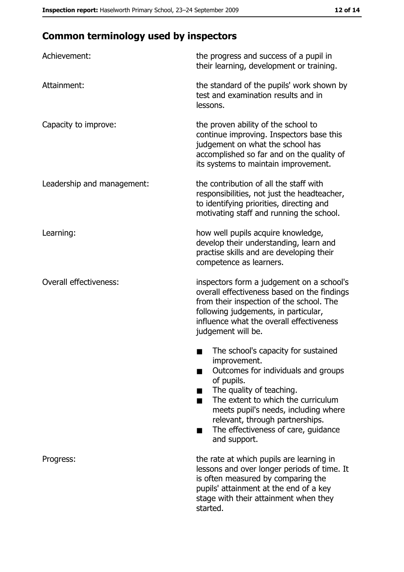## **Common terminology used by inspectors**

| Achievement:                  | the progress and success of a pupil in<br>their learning, development or training.                                                                                                                                                                                                                                |
|-------------------------------|-------------------------------------------------------------------------------------------------------------------------------------------------------------------------------------------------------------------------------------------------------------------------------------------------------------------|
| Attainment:                   | the standard of the pupils' work shown by<br>test and examination results and in<br>lessons.                                                                                                                                                                                                                      |
| Capacity to improve:          | the proven ability of the school to<br>continue improving. Inspectors base this<br>judgement on what the school has<br>accomplished so far and on the quality of<br>its systems to maintain improvement.                                                                                                          |
| Leadership and management:    | the contribution of all the staff with<br>responsibilities, not just the headteacher,<br>to identifying priorities, directing and<br>motivating staff and running the school.                                                                                                                                     |
| Learning:                     | how well pupils acquire knowledge,<br>develop their understanding, learn and<br>practise skills and are developing their<br>competence as learners.                                                                                                                                                               |
| <b>Overall effectiveness:</b> | inspectors form a judgement on a school's<br>overall effectiveness based on the findings<br>from their inspection of the school. The<br>following judgements, in particular,<br>influence what the overall effectiveness<br>judgement will be.                                                                    |
|                               | The school's capacity for sustained<br>improvement.<br>Outcomes for individuals and groups<br>of pupils.<br>The quality of teaching.<br>The extent to which the curriculum<br>meets pupil's needs, including where<br>relevant, through partnerships.<br>The effectiveness of care, guidance<br>٠<br>and support. |
| Progress:                     | the rate at which pupils are learning in<br>lessons and over longer periods of time. It<br>is often measured by comparing the<br>pupils' attainment at the end of a key<br>stage with their attainment when they<br>started.                                                                                      |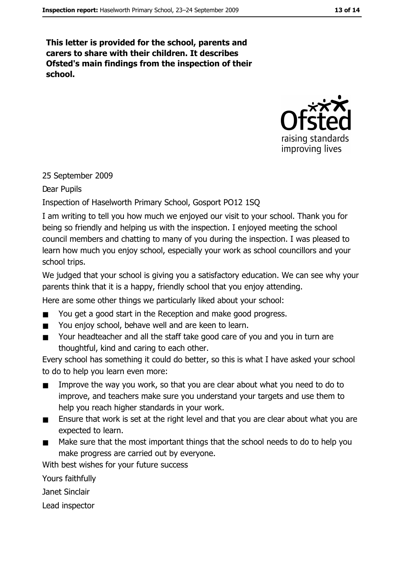This letter is provided for the school, parents and carers to share with their children. It describes Ofsted's main findings from the inspection of their school.



#### 25 September 2009

Dear Pupils

Inspection of Haselworth Primary School, Gosport PO12 1SQ

I am writing to tell you how much we enjoyed our visit to your school. Thank you for being so friendly and helping us with the inspection. I enjoyed meeting the school council members and chatting to many of you during the inspection. I was pleased to learn how much you enjoy school, especially your work as school councillors and your school trips.

We judged that your school is giving you a satisfactory education. We can see why your parents think that it is a happy, friendly school that you enjoy attending.

Here are some other things we particularly liked about your school:

- You get a good start in the Reception and make good progress.
- You enjoy school, behave well and are keen to learn.  $\blacksquare$
- Your headteacher and all the staff take good care of you and you in turn are  $\blacksquare$ thoughtful, kind and caring to each other.

Every school has something it could do better, so this is what I have asked your school to do to help you learn even more:

- Improve the way you work, so that you are clear about what you need to do to  $\blacksquare$ improve, and teachers make sure you understand your targets and use them to help you reach higher standards in your work.
- $\blacksquare$ Ensure that work is set at the right level and that you are clear about what you are expected to learn.
- Make sure that the most important things that the school needs to do to help you  $\blacksquare$ make progress are carried out by everyone.

With best wishes for your future success

Yours faithfully

Janet Sinclair

Lead inspector